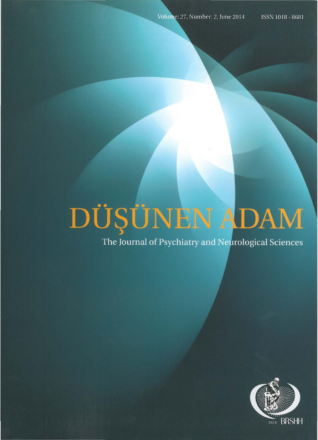## DÜŞÜNEN ADAM

The Journal of Psychiatry and Neurological Sciences

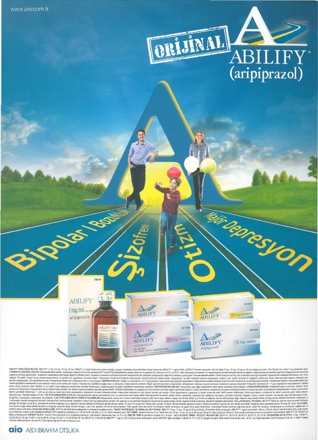

**THIS DROSS UP** 

**28 Tal** 

5 mg tablet

on Tidsie

15 mg tablets

ABILIFY

**ABILIFY** 

aripiprazol

 $150 \text{ m}$ 

Jos Laga

**ABILIFY**  $1$ mg/ml

aripiprazole

ABILIFY'imghi

ABLEY ISA 06018-0235-281.921 <sup>5</sup> Fig. 50 m, 50 m, 30 m, 2002.281.1 to the intermedia constitue and account and the intermedia constitue of the intermedia and account and the intermedia and account and account and account a

**ABILIFY** 

**ABILIFY** 

aripipraz.<br>for Gratthe

30 mg tablets

10 mg tablets

28 Tablet

#### **aio** ABDI IBRAHIM OTSUKA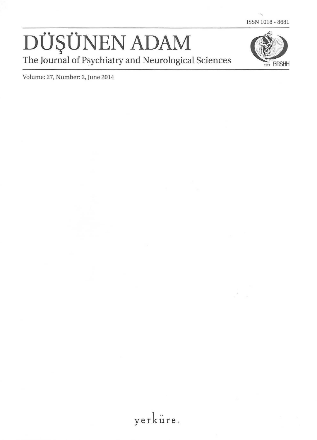ISSN 1018 - 8681

# The Journal of Psychiatry and Neurological Sciences<br>Volume: 27, Number: 2, June 2014



Volume: 27, Number: 2, June 2014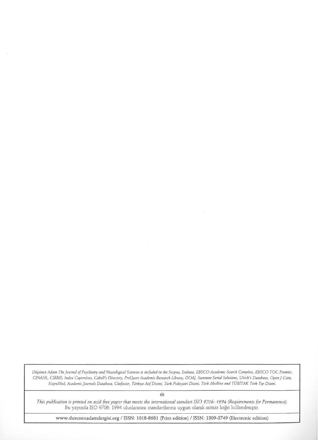*Diljilnen Adam The journal of Psychiatry and Neurological Sciences is induded in the Scopus, Embase, EBSCO Academic Search Complete, EBSCO TOC Premier, CINAHL, CIRRJE, Index Copernicus, Cabell's Dirwory, ProQuest Academic Research Library, DOAj, Summon Serial Solmions, Ulnch's Database, Openj-Gate,*  ScopeMed, Academic Journals Database, Citefactor, Türkiye Atıf Dizini, Türk Psikiyatri Dizini, Türk Medline and TÜBITAK Türk Tıp Dizini.

@

*This publication is printed on acrd-free paper that meets the international standart ISO 9706: 1994 (Requirements for Permanence).*  Bu yayında ISO 9706: 1994 uluslararası standartlarına uygun olarak asitsiz kağıt kullanılmıştır.

www.dusunenadamdergisi.org I ISSN: 1018-8681 (Print edition) I ISSN: 1309-5749 (Electronic edition)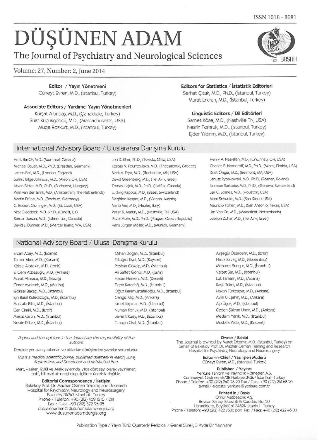ISSN 1018 - 8681

### DÜŞÜNEN ADAM

The Journal of Psychiatry and Neurological Sciences

#### Volume: 27, Number: 2, June 2014

Editor / Yayın Yönetmeni Cüneyt Evren, M.D., (İstanbul, Turkey)

Associate Editors / Yardımcı Yayın Yönetmenleri Kürşat Altınbaş, M.D., (Çanakkale, Turkey) Suat Küçükgöncü, M.D., (Massachusetts, USA) Muge Bozkurt, M.D., (istanbul, Turkey)

#### International Advisory Board / Uluslararası Danışma Kurulu

Amit Bar-Or, M.D., (Montreal, Canada) Jon D. Elhai, Ph.D., (Toledo, Ohio, USA) Michael Bauer, M.D., Ph.D. (Dresden, Germany) James Bell, M.D., (London, England) Sumru Bilge-Johnson, M.D., (Akron, OH, USA) Istvan Bitter, M.D., Ph.D., (Budapest, Hungary) Wm van den Brink, M.D., (Amsterdam, The Netherlands) Martin Brüne, M.D., (Bochum, Germany) C. Robert Cloninger, M.D., (St. Louis, USA) Nick Craddock, M.D., Ph.D., (Cardiff, UK) Serdar Dursun, M.D., (Edmonton, Canada) David L. Dunner, M.D., (Mercer Island, WA, USA)

Kostas N. Fountoulakis, M.D., (Thessaloniki, Greece) Mark A. Frye, M.D., (Rochester, MN, USA) David Greenberg, M.D., (Tel Aviv, Israel) Tomas Hajek, M.D., Ph.D., (Halifax, Canada) Ludwlg Kappos, M.D., (Basel, Switzerland) Siegfried Kasper, M.D., (Vienna, Austria) Mario Maj, M.D., (Naples, Italy) Peter R. Martin, M.D., (Nashville, TN, USA) Pavel Mohr, M.D., Ph.D., (Prague, Czech Republic) Hans Jürgen Möller, M.D., (Munich, Germany)

#### Editors for Statistics / İstatistik Editörleri

Serhat Citak, M.D., Ph.D., (İstanbul, Turkey) Murat Erkıran, M.D., (İstanbul, Turkey)

Linguistic Editors / Dil Editörleri

Samet Köse, M.D., (Nashville TN, USA) Nesrin Tomruk, M.D., (istanbul, Turkey) Ejder Y1ldrnm, M.D., (istanbul, Turkey)

> Henry A. Nasrallah, M.D., (Cincinnati, OH, USA) Charles B. Nemeroff, M.D., Ph.D., (Miami, Florida, USA) Dost Ongur, M.D., (Belmont, MA, USA) Janusz Rybakowski, M.D., Ph.D., (Poznan, Poland) Norman Sartorius M.D., Ph.D., (Geneva, Switzerland) Jair C. Soares, M.D., (Houston, USA) Marc Schuckit, M.D., (San Diego, USA) Mauricio Tohen, M.D., (San Antonio, Texas, USA) Jim Van Os, M.D., (Maastricht, Netherlands) Joseph Zohar, M.D., (Tel Aviv, Israel)

Ayşegül Özerdem, M.D., (İzmir) Haluk Savaş, M.D., (Gaziantep) Mehmet Sungur, M.D., (istanbul) Vedat Şar, M.D., (İstanbul) Lut Tamam, M.D., (Adana) Raşit Tükel, M.D., (İstanbul) Hakan Türkçapar, M.D., (Ankara) Aylin Uluşahin, M.D., (Ankara) Alp Üçok, M.D., (İstanbul) Özden Sükran Üneri, M.D., (Ankara) Medaim Yanrk, M.D., (istanbul) Mustafa Y1ld1z, M.D., (Kocaeli)

#### National Advisory Board / Ulusal Danisma Kurulu

Ercan Abay, M.D., (Edirne) Tamer Aker, M.D., (Kocaeli) Köksal Alptekin, M.D., (İzmir) E. Cem Atbaşoğlu, M.D., (Ankara) Murat Atmaca, M.D., (Elaziğ) Orner Aydemir, M.D., (Manisa) Göksel Bakaç, M.D., (İstanbul) lşın Baral Kulaksızoğlu, M.D., (İstanbul) Mustafa Bilid, M.D., (istanbul) Can Omilli, M.D., (izmir) Mesut Çetin, M.D., (İstanbul) Nesrin Dilbaz, M.D., (istanbul)

Orhan Doğan, M.D., (İstanbul) Ertuğrul Eşel, M.D., (Kayseri) Peykan Gökalp, M.D., (İstanbul) Ali Saffet Gönül, M.D., (İzmir) Hasan Herken, M.D., (Denizli) Figen Karadağ, M.D., (İstanbul) oguz Karamustafahoglu, M.D., (istanbul) Cengiz Kılıç, M.D., (Ankara) ismet Klrprnar, M.D., (istanbul) Numan Konuk, M.D., (istanbul) Levent Küey, M.D., (İstanbul) Timuçin Oral, M.D., (İstanbul)

Papers and the opinions in the Journal are the responsibility of the **Calibrate Community** of the Owner / Sahibi authors.

Dergide yer alan yazılardan ve aktarılan görüşlerden yazarlar sorumludur.

This is a medical scientific ioumal, published quarterly in March, June, September; and December and distributed free.

Mart, Haziran, Eylül ve Aralık aylarında, yılda dört sayı olarak yayınlanan; tıbbi, bilimsel bir dergi olup, ilgililere ücretsiz dağıtılır.

Editorial Correspondence / İletişim Bakirkoy Prof. Dr. Mazhar Osman Training and Research Hospital for Psychiatry, Neurology and Neurosurgery Bakırköy 34747 İstanbul - Turkey Phone / Telefon: +90 (212) 409 15 15 / Fax / Faks: +90 (212) 572 95 95 dusunenadam@dusunenadamdergisi.org www.dusunenadamdergisi.org

The Joumal is owned by Murat Ertemir, M.D., (istanbul, Turkey) on behalf of Bakirkoy Prof. Dr. Mazhar Osman Training and Research Hospital for Psychiatry, Neurology and Neurosurgery

> Editor-in-Chief / Yazı İşleri Müdürü Cüneyt Evren, M.D., (İstanbul, Turkey)

Publisher / Yayıncı Yerküre Tanıtım ve Yayıncılık Hizmetleri A.Ş. Cumhuriyet Caddesi 48139 Harbiye 34367 Istanbul -Turkey Phone / Telefon: +90 (212) 240 28 20 Fax / Faks: +90 (212) 241 68 20 e-mail / e-posta: yerkure@yerkure.com.tr

Printed in / Baskr

Omür Matbaacılık A.Ş.<br>Beysan Sanayi Sitesi Birlik Caddesi No: 20<br>Haramidere, Beylikdüzü 34524 İstanbul - Turkey<br>Phone / Telefon: +90 (212) 422 4600 pbx .Fax / Faks: +90 (212) 422 46 00